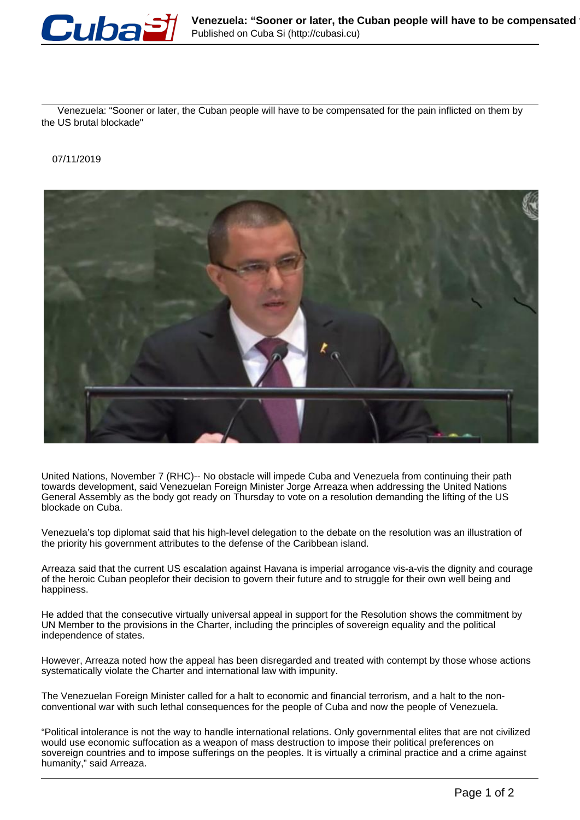

 Venezuela: "Sooner or later, the Cuban people will have to be compensated for the pain inflicted on them by the US brutal blockade"

07/11/2019



United Nations, November 7 (RHC)-- No obstacle will impede Cuba and Venezuela from continuing their path towards development, said Venezuelan Foreign Minister Jorge Arreaza when addressing the United Nations General Assembly as the body got ready on Thursday to vote on a resolution demanding the lifting of the US blockade on Cuba.

Venezuela's top diplomat said that his high-level delegation to the debate on the resolution was an illustration of the priority his government attributes to the defense of the Caribbean island.

Arreaza said that the current US escalation against Havana is imperial arrogance vis-a-vis the dignity and courage of the heroic Cuban peoplefor their decision to govern their future and to struggle for their own well being and happiness.

He added that the consecutive virtually universal appeal in support for the Resolution shows the commitment by UN Member to the provisions in the Charter, including the principles of sovereign equality and the political independence of states.

However, Arreaza noted how the appeal has been disregarded and treated with contempt by those whose actions systematically violate the Charter and international law with impunity.

The Venezuelan Foreign Minister called for a halt to economic and financial terrorism, and a halt to the nonconventional war with such lethal consequences for the people of Cuba and now the people of Venezuela.

"Political intolerance is not the way to handle international relations. Only governmental elites that are not civilized would use economic suffocation as a weapon of mass destruction to impose their political preferences on sovereign countries and to impose sufferings on the peoples. It is virtually a criminal practice and a crime against humanity," said Arreaza.